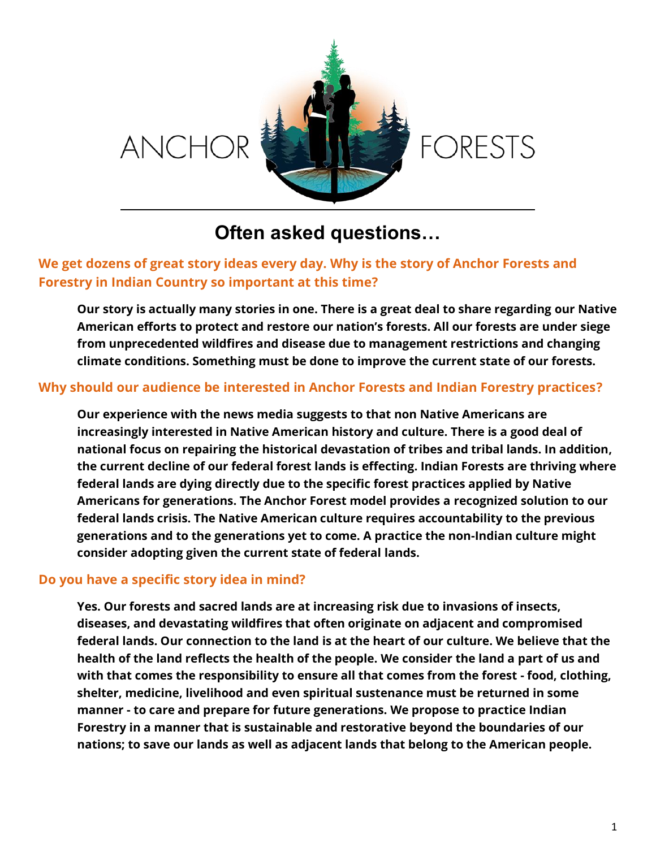

# **Often asked questions…**

# **We get dozens of great story ideas every day. Why is the story of Anchor Forests and Forestry in Indian Country so important at this time?**

**Our story is actually many stories in one. There is a great deal to share regarding our Native American efforts to protect and restore our nation's forests. All our forests are under siege from unprecedented wildfires and disease due to management restrictions and changing climate conditions. Something must be done to improve the current state of our forests.**

### **Why should our audience be interested in Anchor Forests and Indian Forestry practices?**

**Our experience with the news media suggests to that non Native Americans are increasingly interested in Native American history and culture. There is a good deal of national focus on repairing the historical devastation of tribes and tribal lands. In addition, the current decline of our federal forest lands is effecting. Indian Forests are thriving where federal lands are dying directly due to the specific forest practices applied by Native Americans for generations. The Anchor Forest model provides a recognized solution to our federal lands crisis. The Native American culture requires accountability to the previous generations and to the generations yet to come. A practice the non-Indian culture might consider adopting given the current state of federal lands.** 

### **Do you have a specific story idea in mind?**

**Yes. Our forests and sacred lands are at increasing risk due to invasions of insects, diseases, and devastating wildfires that often originate on adjacent and compromised federal lands. Our connection to the land is at the heart of our culture. We believe that the health of the land reflects the health of the people. We consider the land a part of us and with that comes the responsibility to ensure all that comes from the forest - food, clothing, shelter, medicine, livelihood and even spiritual sustenance must be returned in some manner - to care and prepare for future generations. We propose to practice Indian Forestry in a manner that is sustainable and restorative beyond the boundaries of our nations; to save our lands as well as adjacent lands that belong to the American people.**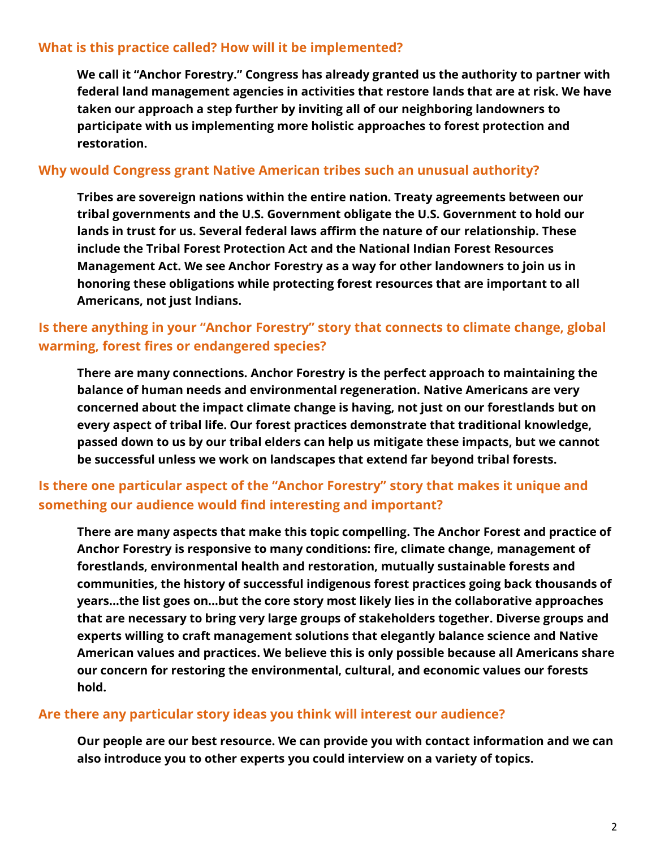### **What is this practice called? How will it be implemented?**

**We call it "Anchor Forestry." Congress has already granted us the authority to partner with federal land management agencies in activities that restore lands that are at risk. We have taken our approach a step further by inviting all of our neighboring landowners to participate with us implementing more holistic approaches to forest protection and restoration.**

### **Why would Congress grant Native American tribes such an unusual authority?**

**Tribes are sovereign nations within the entire nation. Treaty agreements between our tribal governments and the U.S. Government obligate the U.S. Government to hold our lands in trust for us. Several federal laws affirm the nature of our relationship. These include the Tribal Forest Protection Act and the National Indian Forest Resources Management Act. We see Anchor Forestry as a way for other landowners to join us in honoring these obligations while protecting forest resources that are important to all Americans, not just Indians.** 

## **Is there anything in your "Anchor Forestry" story that connects to climate change, global warming, forest fires or endangered species?**

**There are many connections. Anchor Forestry is the perfect approach to maintaining the balance of human needs and environmental regeneration. Native Americans are very concerned about the impact climate change is having, not just on our forestlands but on every aspect of tribal life. Our forest practices demonstrate that traditional knowledge, passed down to us by our tribal elders can help us mitigate these impacts, but we cannot be successful unless we work on landscapes that extend far beyond tribal forests.** 

# **Is there one particular aspect of the "Anchor Forestry" story that makes it unique and something our audience would find interesting and important?**

**There are many aspects that make this topic compelling. The Anchor Forest and practice of Anchor Forestry is responsive to many conditions: fire, climate change, management of forestlands, environmental health and restoration, mutually sustainable forests and communities, the history of successful indigenous forest practices going back thousands of years…the list goes on…but the core story most likely lies in the collaborative approaches that are necessary to bring very large groups of stakeholders together. Diverse groups and experts willing to craft management solutions that elegantly balance science and Native American values and practices. We believe this is only possible because all Americans share our concern for restoring the environmental, cultural, and economic values our forests hold.** 

### **Are there any particular story ideas you think will interest our audience?**

**Our people are our best resource. We can provide you with contact information and we can also introduce you to other experts you could interview on a variety of topics.**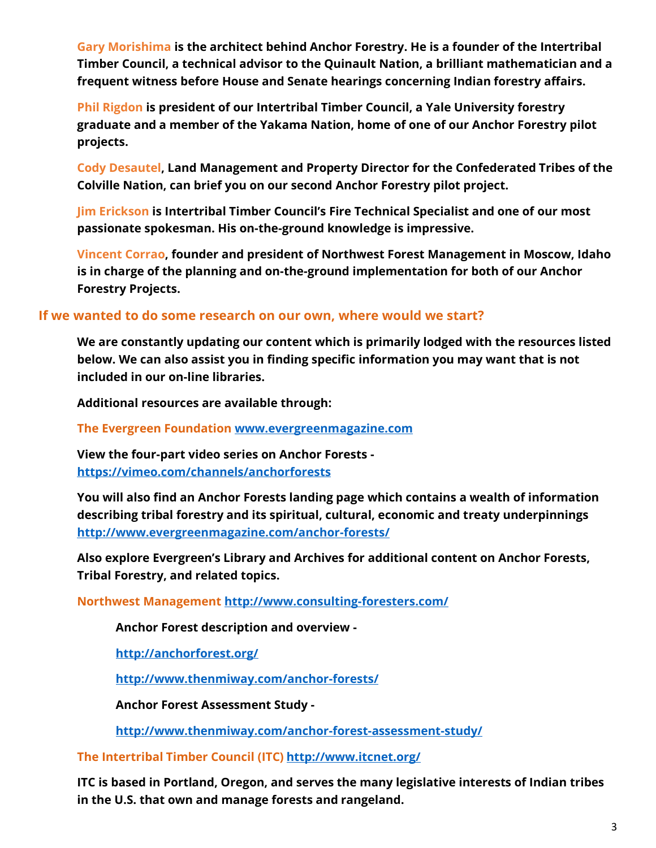**Gary Morishima is the architect behind Anchor Forestry. He is a founder of the Intertribal Timber Council, a technical advisor to the Quinault Nation, a brilliant mathematician and a frequent witness before House and Senate hearings concerning Indian forestry affairs.**

**Phil Rigdon is president of our Intertribal Timber Council, a Yale University forestry graduate and a member of the Yakama Nation, home of one of our Anchor Forestry pilot projects.**

**Cody Desautel, Land Management and Property Director for the Confederated Tribes of the Colville Nation, can brief you on our second Anchor Forestry pilot project.**

**Jim Erickson is Intertribal Timber Council's Fire Technical Specialist and one of our most passionate spokesman. His on-the-ground knowledge is impressive.**

**Vincent Corrao, founder and president of Northwest Forest Management in Moscow, Idaho is in charge of the planning and on-the-ground implementation for both of our Anchor Forestry Projects.**

### **If we wanted to do some research on our own, where would we start?**

**We are constantly updating our content which is primarily lodged with the resources listed below. We can also assist you in finding specific information you may want that is not included in our on-line libraries.**

**Additional resources are available through:**

**The Evergreen Foundation [www.evergreenmagazine.com](http://www.evergreenmagazine.com/)**

**View the four-part video series on Anchor Forests <https://vimeo.com/channels/anchorforests>**

**You will also find an Anchor Forests landing page which contains a wealth of information describing tribal forestry and its spiritual, cultural, economic and treaty underpinnings <http://www.evergreenmagazine.com/anchor-forests/>**

**Also explore Evergreen's Library and Archives for additional content on Anchor Forests, Tribal Forestry, and related topics.** 

**Northwest Management <http://www.consulting-foresters.com/>**

**Anchor Forest description and overview -**

**<http://anchorforest.org/>**

**<http://www.thenmiway.com/anchor-forests/>**

**Anchor Forest Assessment Study -**

**<http://www.thenmiway.com/anchor-forest-assessment-study/>**

**The Intertribal Timber Council (ITC) <http://www.itcnet.org/>**

**ITC is based in Portland, Oregon, and serves the many legislative interests of Indian tribes in the U.S. that own and manage forests and rangeland.**